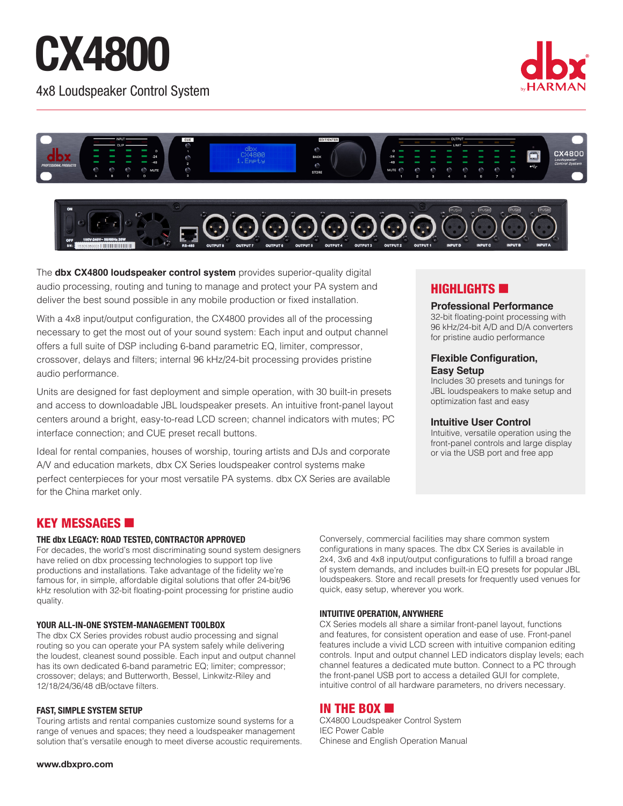# **CX4800**

4x8 Loudspeaker Control System







The **dbx CX4800 loudspeaker control system** provides superior-quality digital audio processing, routing and tuning to manage and protect your PA system and deliver the best sound possible in any mobile production or fixed installation.

With a 4x8 input/output configuration, the CX4800 provides all of the processing necessary to get the most out of your sound system: Each input and output channel offers a full suite of DSP including 6-band parametric EQ, limiter, compressor, crossover, delays and filters; internal 96 kHz/24-bit processing provides pristine audio performance.

Units are designed for fast deployment and simple operation, with 30 built-in presets and access to downloadable JBL loudspeaker presets. An intuitive front-panel layout centers around a bright, easy-to-read LCD screen; channel indicators with mutes; PC interface connection; and CUE preset recall buttons.

Ideal for rental companies, houses of worship, touring artists and DJs and corporate A/V and education markets, dbx CX Series loudspeaker control systems make perfect centerpieces for your most versatile PA systems. dbx CX Series are available for the China market only.

# $H$ IGHLIGHTS  $\blacksquare$

### **Professional Performance**

32-bit floating-point processing with 96 kHz/24-bit A/D and D/A converters for pristine audio performance

## **Flexible Configuration, Easy Setup**

Includes 30 presets and tunings for JBL loudspeakers to make setup and optimization fast and easy

# **Intuitive User Control**

Intuitive, versatile operation using the front-panel controls and large display or via the USB port and free app

# KEY MESSAGES **6**

### **THE dbx LEGACY: ROAD TESTED, CONTRACTOR APPROVED**

For decades, the world's most discriminating sound system designers have relied on dbx processing technologies to support top live productions and installations. Take advantage of the fidelity we're famous for, in simple, affordable digital solutions that offer 24-bit/96 kHz resolution with 32-bit floating-point processing for pristine audio quality.

# **YOUR ALL-IN-ONE SYSTEM-MANAGEMENT TOOLBOX**

The dbx CX Series provides robust audio processing and signal routing so you can operate your PA system safely while delivering the loudest, cleanest sound possible. Each input and output channel has its own dedicated 6-band parametric EQ; limiter; compressor; crossover; delays; and Butterworth, Bessel, Linkwitz-Riley and 12/18/24/36/48 dB/octave filters.

### **FAST, SIMPLE SYSTEM SETUP**

Touring artists and rental companies customize sound systems for a range of venues and spaces; they need a loudspeaker management solution that's versatile enough to meet diverse acoustic requirements. Conversely, commercial facilities may share common system configurations in many spaces. The dbx CX Series is available in 2x4, 3x6 and 4x8 input/output configurations to fulfill a broad range of system demands, and includes built-in EQ presets for popular JBL loudspeakers. Store and recall presets for frequently used venues for quick, easy setup, wherever you work.

# **INTUITIVE OPERATION, ANYWHERE**

CX Series models all share a similar front-panel layout, functions and features, for consistent operation and ease of use. Front-panel features include a vivid LCD screen with intuitive companion editing controls. Input and output channel LED indicators display levels; each channel features a dedicated mute button. Connect to a PC through the front-panel USB port to access a detailed GUI for complete, intuitive control of all hardware parameters, no drivers necessary.

# IN THE BOX  $\blacksquare$

CX4800 Loudspeaker Control System IEC Power Cable Chinese and English Operation Manual